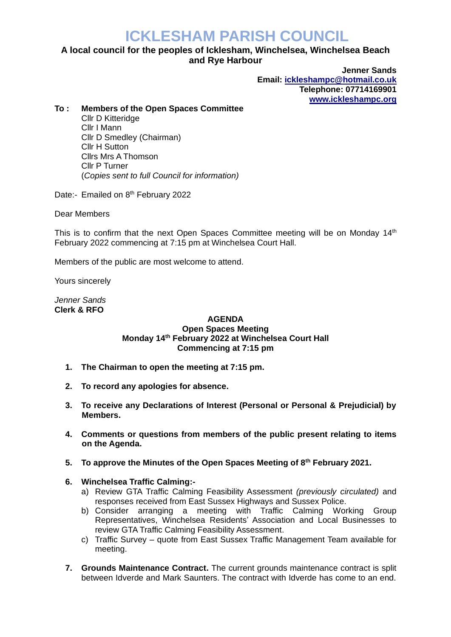# **ICKLESHAM PARISH COUNCIL**

## **A local council for the peoples of Icklesham, Winchelsea, Winchelsea Beach and Rye Harbour**

**Jenner Sands Email: [ickleshampc@hotmail.co.uk](mailto:ickleshampc@hotmail.co.uk) Telephone: 07714169901 [www.ickleshampc.org](http://www.ickleshampc.org/)**

### **To : Members of the Open Spaces Committee**

Cllr D Kitteridge Cllr I Mann Cllr D Smedley (Chairman) Cllr H Sutton Cllrs Mrs A Thomson Cllr P Turner (*Copies sent to full Council for information)*

Date:- Emailed on 8<sup>th</sup> February 2022

Dear Members

This is to confirm that the next Open Spaces Committee meeting will be on Monday  $14<sup>th</sup>$ February 2022 commencing at 7:15 pm at Winchelsea Court Hall.

Members of the public are most welcome to attend.

Yours sincerely

*Jenner Sands* **Clerk & RFO**

#### **AGENDA Open Spaces Meeting Monday 14th February 2022 at Winchelsea Court Hall Commencing at 7:15 pm**

- **1. The Chairman to open the meeting at 7:15 pm.**
- **2. To record any apologies for absence.**
- **3. To receive any Declarations of Interest (Personal or Personal & Prejudicial) by Members.**
- **4. Comments or questions from members of the public present relating to items on the Agenda.**
- **5. To approve the Minutes of the Open Spaces Meeting of 8th February 2021.**

### **6. Winchelsea Traffic Calming:-**

- a) Review GTA Traffic Calming Feasibility Assessment *(previously circulated)* and responses received from East Sussex Highways and Sussex Police.
- b) Consider arranging a meeting with Traffic Calming Working Group Representatives, Winchelsea Residents' Association and Local Businesses to review GTA Traffic Calming Feasibility Assessment.
- c) Traffic Survey quote from East Sussex Traffic Management Team available for meeting.
- **7. Grounds Maintenance Contract.** The current grounds maintenance contract is split between Idverde and Mark Saunters. The contract with Idverde has come to an end.